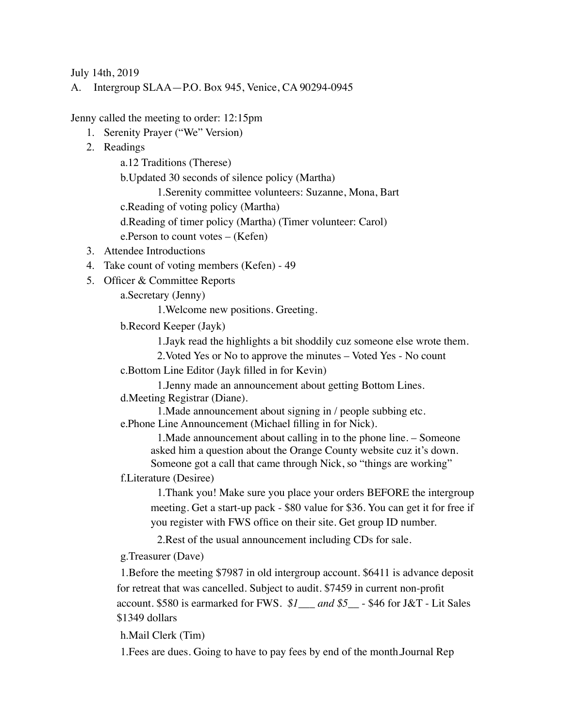July 14th, 2019

A. Intergroup SLAA—P.O. Box 945, Venice, CA 90294-0945

Jenny called the meeting to order: 12:15pm

- 1. Serenity Prayer ("We" Version)
- 2. Readings

a.12 Traditions (Therese)

b.Updated 30 seconds of silence policy (Martha)

1.Serenity committee volunteers: Suzanne, Mona, Bart

c.Reading of voting policy (Martha)

d.Reading of timer policy (Martha) (Timer volunteer: Carol)

e.Person to count votes – (Kefen)

- 3. Attendee Introductions
- 4. Take count of voting members (Kefen) 49
- 5. Officer & Committee Reports

a.Secretary (Jenny)

1.Welcome new positions. Greeting.

b.Record Keeper (Jayk)

1.Jayk read the highlights a bit shoddily cuz someone else wrote them.

2.Voted Yes or No to approve the minutes – Voted Yes - No count

c.Bottom Line Editor (Jayk filled in for Kevin)

1.Jenny made an announcement about getting Bottom Lines. d.Meeting Registrar (Diane).

1.Made announcement about signing in / people subbing etc. e.Phone Line Announcement (Michael filling in for Nick).

1.Made announcement about calling in to the phone line. – Someone asked him a question about the Orange County website cuz it's down. Someone got a call that came through Nick, so "things are working"

f.Literature (Desiree)

1.Thank you! Make sure you place your orders BEFORE the intergroup meeting. Get a start-up pack - \$80 value for \$36. You can get it for free if you register with FWS office on their site. Get group ID number.

2.Rest of the usual announcement including CDs for sale.

g.Treasurer (Dave)

1.Before the meeting \$7987 in old intergroup account. \$6411 is advance deposit for retreat that was cancelled. Subject to audit. \$7459 in current non-profit account. \$580 is earmarked for FWS. *\$1\_\_\_ and \$5\_\_* - \$46 for J&T - Lit Sales \$1349 dollars

h.Mail Clerk (Tim)

1.Fees are dues. Going to have to pay fees by end of the month.Journal Rep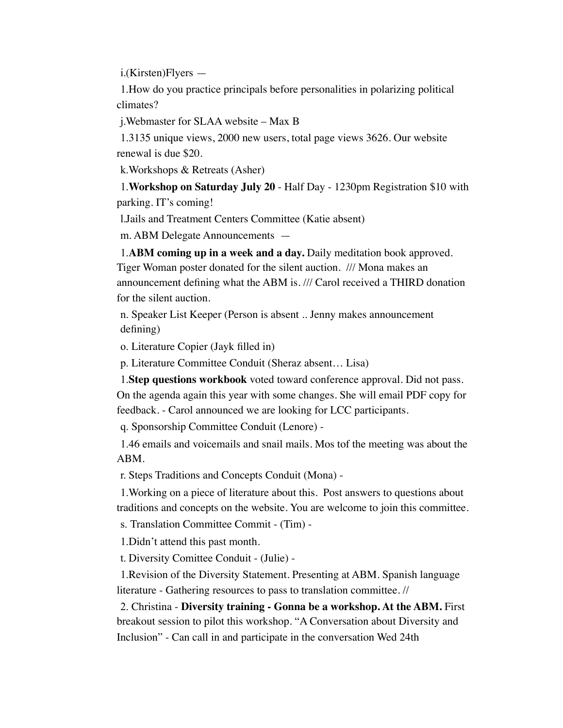i.(Kirsten)Flyers —

1.How do you practice principals before personalities in polarizing political climates?

j.Webmaster for SLAA website – Max B

1.3135 unique views, 2000 new users, total page views 3626. Our website renewal is due \$20.

k.Workshops & Retreats (Asher)

1.**Workshop on Saturday July 20** - Half Day - 1230pm Registration \$10 with parking. IT's coming!

l.Jails and Treatment Centers Committee (Katie absent)

m. ABM Delegate Announcements —

1.**ABM coming up in a week and a day.** Daily meditation book approved. Tiger Woman poster donated for the silent auction. /// Mona makes an announcement defining what the ABM is. /// Carol received a THIRD donation for the silent auction.

n. Speaker List Keeper (Person is absent .. Jenny makes announcement defining)

o. Literature Copier (Jayk filled in)

p. Literature Committee Conduit (Sheraz absent… Lisa)

1.**Step questions workbook** voted toward conference approval. Did not pass. On the agenda again this year with some changes. She will email PDF copy for feedback. - Carol announced we are looking for LCC participants.

q. Sponsorship Committee Conduit (Lenore) -

1.46 emails and voicemails and snail mails. Mos tof the meeting was about the ABM.

r. Steps Traditions and Concepts Conduit (Mona) -

1.Working on a piece of literature about this. Post answers to questions about traditions and concepts on the website. You are welcome to join this committee.

s. Translation Committee Commit - (Tim) -

1.Didn't attend this past month.

t. Diversity Comittee Conduit - (Julie) -

1.Revision of the Diversity Statement. Presenting at ABM. Spanish language literature - Gathering resources to pass to translation committee. //

2. Christina - **Diversity training - Gonna be a workshop. At the ABM.** First breakout session to pilot this workshop. "A Conversation about Diversity and Inclusion" - Can call in and participate in the conversation Wed 24th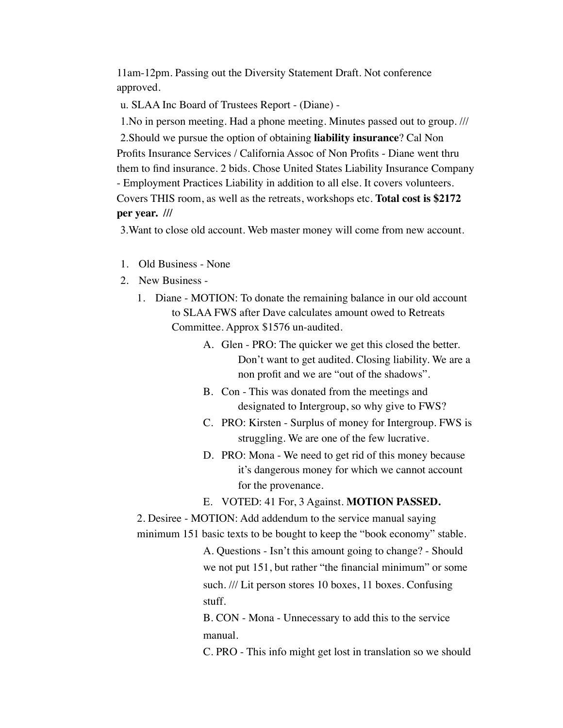11am-12pm. Passing out the Diversity Statement Draft. Not conference approved.

u. SLAA Inc Board of Trustees Report - (Diane) -

1.No in person meeting. Had a phone meeting. Minutes passed out to group. ///

2.Should we pursue the option of obtaining **liability insurance**? Cal Non Profits Insurance Services / California Assoc of Non Profits - Diane went thru them to find insurance. 2 bids. Chose United States Liability Insurance Company - Employment Practices Liability in addition to all else. It covers volunteers. Covers THIS room, as well as the retreats, workshops etc. **Total cost is \$2172 per year. ///** 

3.Want to close old account. Web master money will come from new account.

- 1. Old Business None
- 2. New Business
	- 1. Diane MOTION: To donate the remaining balance in our old account to SLAA FWS after Dave calculates amount owed to Retreats Committee. Approx \$1576 un-audited.
		- A. Glen PRO: The quicker we get this closed the better. Don't want to get audited. Closing liability. We are a non profit and we are "out of the shadows".
		- B. Con This was donated from the meetings and designated to Intergroup, so why give to FWS?
		- C. PRO: Kirsten Surplus of money for Intergroup. FWS is struggling. We are one of the few lucrative.
		- D. PRO: Mona We need to get rid of this money because it's dangerous money for which we cannot account for the provenance.

## E. VOTED: 41 For, 3 Against. **MOTION PASSED.**

2. Desiree - MOTION: Add addendum to the service manual saying minimum 151 basic texts to be bought to keep the "book economy" stable.

> A. Questions - Isn't this amount going to change? - Should we not put 151, but rather "the financial minimum" or some such. /// Lit person stores 10 boxes, 11 boxes. Confusing stuff.

B. CON - Mona - Unnecessary to add this to the service manual.

C. PRO - This info might get lost in translation so we should